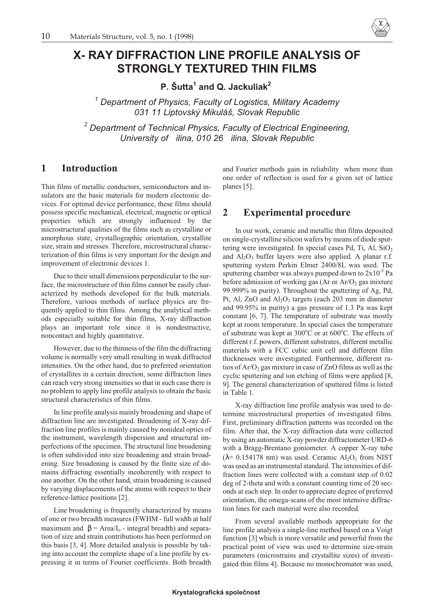

# **X- RAY DIFFRACTION LINE PROFILE ANALYSIS OF STRONGLY TEXTURED THIN FILMS**

**P. Šutta1 and Q. Jackuliak2**

*<sup>1</sup> Department of Physics, Faculty of Logistics, Military Academy 031 11 Liptovský Mikuláš, Slovak Republic*

*<sup>2</sup> Department of Technical Physics, Faculty of Electrical Engineering, University of ilina, 010 26 ilina, Slovak Republic*

## **1 Introduction**

Thin films of metallic conductors, semiconductors and insulators are the basic materials for modern electronic devices. For optimal device performance, these films should possess specific mechanical, electrical, magnetic or optical properties which are strongly influenced by the microstructural qualities of the films such as crystalline or amorphous state, crystallographic orientation, crystallite size, strain and stresses. Therefore, microstructural characterization of thin films is very important for the design and improvement of electronic devices 1.

Due to their small dimensions perpendicular to the surface, the microstructure of thin films cannot be easily characterized by methods developed for the bulk materials. Therefore, various methods of surface physics are frequently applied to thin films. Among the analytical methods especially suitable for thin films, X-ray diffraction plays an important role since it is nondestructive, noncontact and highly quantitative.

However, due to the thinness of the film the diffracting volume is normally very small resulting in weak diffracted intensities. On the other hand, due to preferred orientation of crystallites in a certain direction, some diffraction lines can reach very strong intensities so that in such case there is no problem to apply line profile analysis to obtain the basic structural characteristics of thin films.

In line profile analysis mainly broadening and shape of diffraction line are investigated. Broadening of X-ray diffraction line profiles is mainly caused by nonideal optics of the instrument, wavelength dispersion and structural imperfections of the specimen. The structural line broadening is often subdivided into size broadening and strain broadening. Size broadening is caused by the finite size of domains diffracting essentially incoherently with respect to one another. On the other hand, strain broadening is caused by varying displacements of the atoms with respect to their reference-lattice positions [2].

Line broadening is frequently characterized by means of one or two breadth measures (FWHM - full width at half maximum and  $\beta$  = Area/I<sub>o</sub> - integral breadth) and separation of size and strain contributions has been performed on this basis [3, 4]. More detailed analysis is possible by taking into account the complete shape of a line profile by expressing it in terms of Fourier coefficients. Both breadth

and Fourier methods gain in reliability when more than one order of reflection is used for a given set of lattice planes [5].

### **2 Experimental procedure**

In our work, ceramic and metallic thin films deposited on single-crystalline silicon wafers by means of diode sputtering were investigated. In special cases Pd, Ti, Al,  $SiO<sub>2</sub>$ and  $Al_2O_3$  buffer layers were also applied. A planar r.f. sputtering system Perkin Elmer 2400/8L was used. The sputtering chamber was always pumped down to  $2x10^{-5}$  Pa before admission of working gas (Ar or  $Ar/O<sub>2</sub>$  gas mixture 99.999% in purity). Throughout the sputtering of Ag, Pd, Pt, Al, ZnO and  $Al_2O_3$  targets (each 203 mm in diameter and 99.95% in purity) a gas pressure of 1.3 Pa was kept constant [6, 7]. The temperature of substrate was mostly kept at room temperature. In special cases the temperature of substrate was kept at  $300^{\circ}$ C or at  $600^{\circ}$ C. The effects of different r.f. powers, different substrates, different metallic materials with a FCC cubic unit cell and different film thicknesses were investigated. Furthermore, different ratios of  $Ar/O<sub>2</sub>$  gas mixture in case of ZnO films as well as the cyclic sputtering and ion etching of films were applied [8, 9]. The general characterization of sputtered films is listed in Table 1.

X-ray diffraction line profile analysis was used to determine microstructural properties of investigated films. First, preliminary diffraction patterns was recorded on the film. After that, the X-ray diffraction data were collected by using an automatic X-ray powder diffractometer URD-6 with a Bragg-Brentano goniometer. A copper X-ray tube ( $\lambda$ = 0.154178 nm) was used. Ceramic Al<sub>2</sub>O<sub>3</sub> from NIST was used as an instrumental standard. The intensities of diffraction lines were collected with a constant step of 0.02 deg of 2-theta and with a constant counting time of 20 seconds at each step. In order to appreciate degree of preferred orientation, the omega-scans of the most intensive diffraction lines for each material were also recorded.

From several available methods appropriate for the line profile analysis a single-line method based on a Voigt function [3] which is more versatile and powerful from the practical point of view was used to determine size-strain parameters (microstrains and crystallite sizes) of investigated thin films 4]. Because no monochromator was used,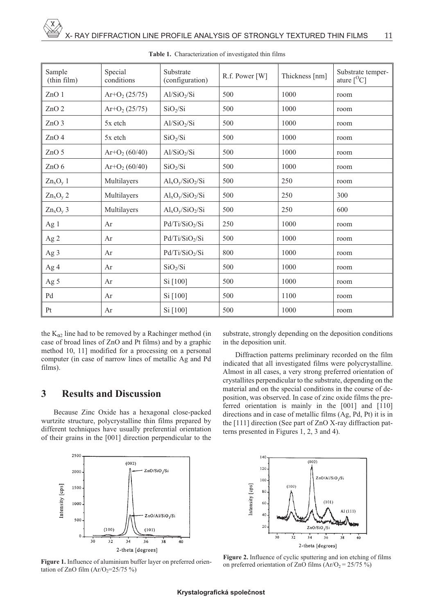| Sample<br>(thin film) | Special<br>conditions | Substrate<br>(configuration) | R.f. Power [W] | Thickness [nm] | Substrate temper-<br>ature $\rm [^O\rm C]$ |
|-----------------------|-----------------------|------------------------------|----------------|----------------|--------------------------------------------|
| ZnO 1                 | $Ar+O2(25/75)$        | Al/SiO <sub>2</sub> /Si      | 500            | 1000           | room                                       |
| ZnO <sub>2</sub>      | $Ar+O2(25/75)$        | SiO <sub>2</sub> /Si         | 500            | 1000           | room                                       |
| ZnO <sub>3</sub>      | 5x etch               | Al/SiO <sub>2</sub> /Si      | 500            | 1000           | room                                       |
| ZnO <sub>4</sub>      | 5x etch               | SiO <sub>2</sub> /Si         | 500            | 1000           | room                                       |
| ZnO 5                 | $Ar+O2(60/40)$        | Al/SiO <sub>2</sub> /Si      | 500            | 1000           | room                                       |
| ZnO 6                 | $Ar+O2(60/40)$        | SiO <sub>2</sub> /Si         | 500            | 1000           | room                                       |
| $Zn_xO_y$ 1           | Multilayers           | $Al_xO_y/SiO_2/Si$           | 500            | 250            | room                                       |
| $Zn_xO_y$ 2           | Multilayers           | $Al_xO_y/SiO_2/Si$           | 500            | 250            | 300                                        |
| $Zn_xO_y$ 3           | Multilayers           | $Al_xO_y/SiO_2/Si$           | 500            | 250            | 600                                        |
| Ag 1                  | Ar                    | Pd/Ti/SiO <sub>2</sub> /Si   | 250            | 1000           | room                                       |
| Ag 2                  | Ar                    | Pd/Ti/SiO <sub>2</sub> /Si   | 500            | 1000           | room                                       |
| Ag 3                  | Ar                    | Pd/Ti/SiO <sub>2</sub> /Si   | 800            | 1000           | room                                       |
| Ag 4                  | Ar                    | SiO <sub>2</sub> /Si         | 500            | 1000           | room                                       |
| Ag 5                  | Ar                    | Si [100]                     | 500            | 1000           | room                                       |
| Pd                    | Ar                    | Si [100]                     | 500            | 1100           | room                                       |
| Pt                    | Ar                    | Si [100]                     | 500            | 1000           | room                                       |

**Table 1.** Characterization of investigated thin films

the  $K_{\alpha2}$  line had to be removed by a Rachinger method (in case of broad lines of ZnO and Pt films) and by a graphic method 10, 11] modified for a processing on a personal computer (in case of narrow lines of metallic Ag and Pd films).

# **3 Results and Discussion**

Because Zinc Oxide has a hexagonal close-packed wurtzite structure, polycrystalline thin films prepared by different techniques have usually preferential orientation of their grains in the [001] direction perpendicular to the substrate, strongly depending on the deposition conditions in the deposition unit.

Diffraction patterns preliminary recorded on the film indicated that all investigated films were polycrystalline. Almost in all cases, a very strong preferred orientation of crystallites perpendicular to the substrate, depending on the material and on the special conditions in the course of deposition, was observed. In case of zinc oxide films the preferred orientation is mainly in the [001] and [110] directions and in case of metallic films (Ag, Pd, Pt) it is in the [111] direction (See part of ZnO X-ray diffraction patterns presented in Figures 1, 2, 3 and 4).



**Figure 1.** Influence of aluminium buffer layer on preferred orientation of ZnO film  $(Ar/O<sub>2</sub>=25/75%)$ 



**Figure 2.** Influence of cyclic sputtering and ion etching of films on preferred orientation of ZnO films  $(Ar/O<sub>2</sub> = 25/75 %$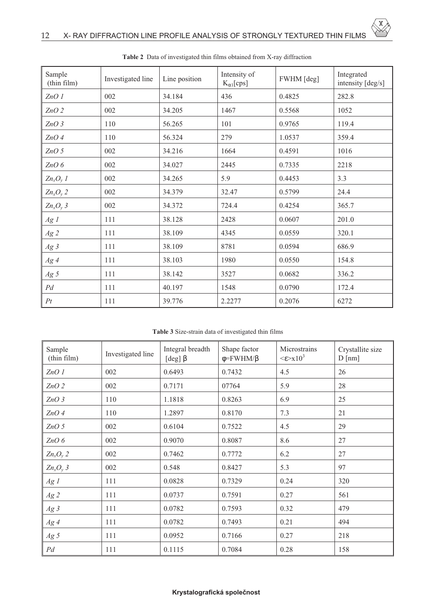| Sample<br>(thin film) | Investigated line | Line position | Intensity of<br>$K_{\alpha 1}$ [cps] | FWHM [deg] | Integrated<br>intensity [deg/s] |
|-----------------------|-------------------|---------------|--------------------------------------|------------|---------------------------------|
| ZnO1                  | 002               | 34.184        | 436                                  | 0.4825     | 282.8                           |
| $ZnO$ 2               | 002               | 34.205        | 1467                                 | 0.5568     | 1052                            |
| $ZnO$ 3               | 110               | 56.265        | 101                                  | 0.9765     | 119.4                           |
| $ZnO$ 4               | 110               | 56.324        | 279                                  | 1.0537     | 359.4                           |
| ZnO <sub>5</sub>      | 002               | 34.216        | 1664                                 | 0.4591     | 1016                            |
| $ZnO$ $6$             | 002               | 34.027        | 2445                                 | 0.7335     | 2218                            |
| $Zn_xO_y$ 1           | 002               | 34.265        | 5.9                                  | 0.4453     | 3.3                             |
| $Zn_xO_y$ 2           | 002               | 34.379        | 32.47                                | 0.5799     | 24.4                            |
| $Zn_xO_y$ 3           | 002               | 34.372        | 724.4                                | 0.4254     | 365.7                           |
| Ag1                   | 111               | 38.128        | 2428                                 | 0.0607     | 201.0                           |
| Ag2                   | 111               | 38.109        | 4345                                 | 0.0559     | 320.1                           |
| Ag3                   | 111               | 38.109        | 8781                                 | 0.0594     | 686.9                           |
| Ag4                   | 111               | 38.103        | 1980                                 | 0.0550     | 154.8                           |
| $Ag\,5$               | 111               | 38.142        | 3527                                 | 0.0682     | 336.2                           |
| $Pd$                  | 111               | 40.197        | 1548                                 | 0.0790     | 172.4                           |
| Pt                    | 111               | 39.776        | 2.2277                               | 0.2076     | 6272                            |

**Table 2** Data of investigated thin films obtained from X-ray diffraction

 $\overline{\mathrm{x}}$ 

**Table 3** Size-strain data of investigated thin films

| Sample<br>(thin film) | Investigated line | Integral breadth<br>[deg] $\beta$ | Shape factor<br>$\phi = FWHM/\beta$ | Microstrains<br>$\leq \epsilon \geq x 10^3$ | Crystallite size<br>D[nm] |
|-----------------------|-------------------|-----------------------------------|-------------------------------------|---------------------------------------------|---------------------------|
| ZnO1                  | 002               | 0.6493                            | 0.7432                              | 4.5                                         | 26                        |
| $ZnO$ 2               | 002               | 0.7171                            | 07764                               | 5.9                                         | 28                        |
| ZnO3                  | 110               | 1.1818                            | 0.8263                              | 6.9                                         | 25                        |
| $ZnO$ 4               | 110               | 1.2897                            | 0.8170                              | 7.3                                         | 21                        |
| ZnO <sub>5</sub>      | 002               | 0.6104                            | 0.7522                              | 4.5                                         | 29                        |
| $ZnO$ $6$             | 002               | 0.9070                            | 0.8087                              | 8.6                                         | 27                        |
| $Zn_xO_y$ 2           | 002               | 0.7462                            | 0.7772                              | 6.2                                         | 27                        |
| $Zn_xO_y$ 3           | 002               | 0.548                             | 0.8427                              | 5.3                                         | 97                        |
| Ag1                   | 111               | 0.0828                            | 0.7329                              | 0.24                                        | 320                       |
| $Ag\,2$               | 111               | 0.0737                            | 0.7591                              | 0.27                                        | 561                       |
| Ag3                   | 111               | 0.0782                            | 0.7593                              | 0.32                                        | 479                       |
| Ag4                   | 111               | 0.0782                            | 0.7493                              | 0.21                                        | 494                       |
| $Ag\,5$               | 111               | 0.0952                            | 0.7166                              | 0.27                                        | 218                       |
| Pd                    | 111               | 0.1115                            | 0.7084                              | 0.28                                        | 158                       |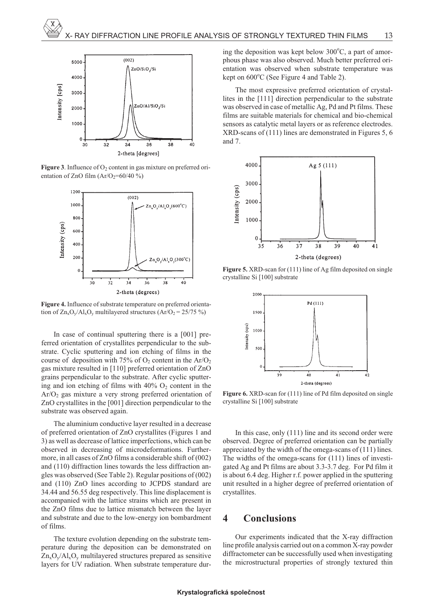

**Figure 3**. Influence of  $O_2$  content in gas mixture on preferred orientation of ZnO film  $(Ar/O<sub>2</sub>=60/40%)$ 



**Figure 4.** Influence of substrate temperature on preferred orientation of  $Zn_xO_y/Al_xO_y$  multilayered structures  $(Ar/O_2 = 25/75\%)$ 

In case of continual sputtering there is a [001] preferred orientation of crystallites perpendicular to the substrate. Cyclic sputtering and ion etching of films in the course of deposition with 75% of  $O_2$  content in the Ar/ $O_2$ gas mixture resulted in [110] preferred orientation of ZnO grains perpendicular to the substrate. After cyclic sputtering and ion etching of films with  $40\%$  O<sub>2</sub> content in the Ar/O2 gas mixture a very strong preferred orientation of ZnO crystallites in the [001] direction perpendicular to the substrate was observed again.

The aluminium conductive layer resulted in a decrease of preferred orientation of ZnO crystallites (Figures 1 and 3) as well as decrease of lattice imperfections, which can be observed in decreasing of microdeformations. Furthermore, in all cases of ZnO films a considerable shift of (002) and (110) diffraction lines towards the less diffraction angles was observed (See Table 2). Regular positions of (002) and (110) ZnO lines according to JCPDS standard are 34.44 and 56.55 deg respectively. This line displacement is accompanied with the lattice strains which are present in the ZnO films due to lattice mismatch between the layer and substrate and due to the low-energy ion bombardment of films.

The texture evolution depending on the substrate temperature during the deposition can be demonstrated on  $Zn_xO_y/Al_xO_y$  multilayered structures prepared as sensitive layers for UV radiation. When substrate temperature dur-

ing the deposition was kept below 300°C, a part of amorphous phase was also observed. Much better preferred orientation was observed when substrate temperature was kept on  $600^{\circ}$ C (See Figure 4 and Table 2).

The most expressive preferred orientation of crystallites in the [111] direction perpendicular to the substrate was observed in case of metallic Ag, Pd and Pt films. These films are suitable materials for chemical and bio-chemical sensors as catalytic metal layers or as reference electrodes. XRD-scans of (111) lines are demonstrated in Figures 5, 6 and 7.



**Figure 5.** XRD-scan for (111) line of Ag film deposited on single crystalline Si [100] substrate



**Figure 6.** XRD-scan for (111) line of Pd film deposited on single crystalline Si [100] substrate

In this case, only (111) line and its second order were observed. Degree of preferred orientation can be partially appreciated by the width of the omega-scans of (111) lines. The widths of the omega-scans for (111) lines of investigated Ag and Pt films are about 3.3-3.7 deg. For Pd film it is about 6.4 deg. Higher r.f. power applied in the sputtering unit resulted in a higher degree of preferred orientation of crystallites.

### **4 Conclusions**

Our experiments indicated that the X-ray diffraction line profile analysis carried out on a common X-ray powder diffractometer can be successfully used when investigating the microstructural properties of strongly textured thin